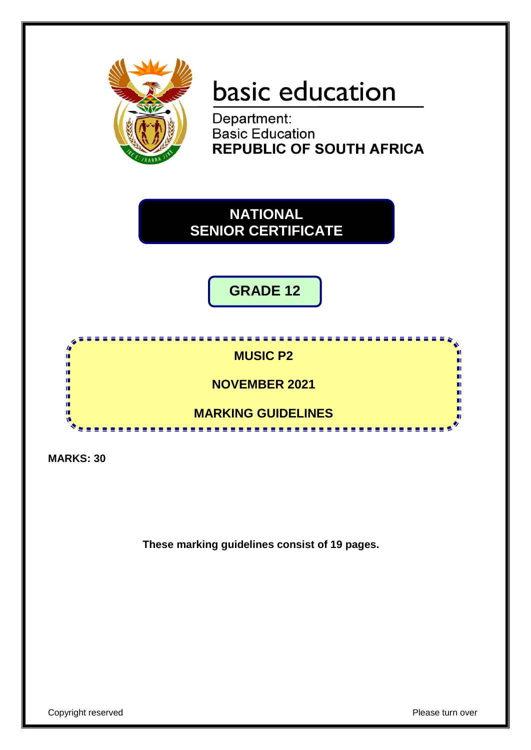

# basic education

Department: **Basic Education REPUBLIC OF SOUTH AFRICA** 

**NATIONAL SENIOR CERTIFICATE**

**GRADE 12**



**MARKS: 30**

**These marking guidelines consist of 19 pages.**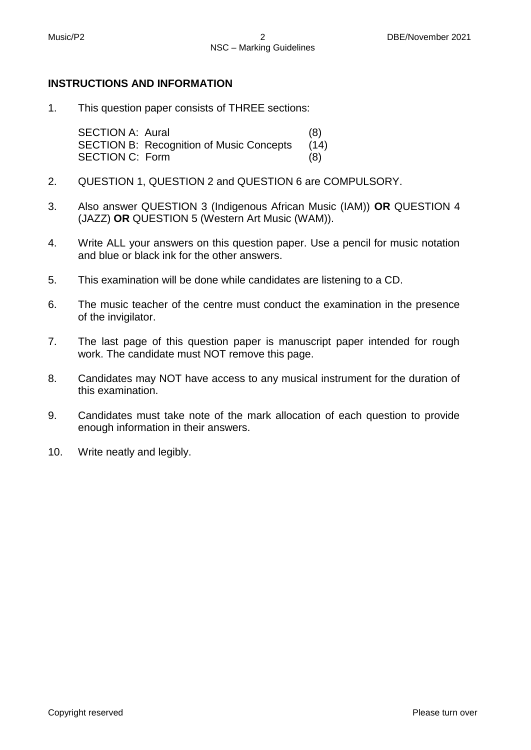### **INSTRUCTIONS AND INFORMATION**

1. This question paper consists of THREE sections:

> SECTION A: Aural (8) SECTION B: Recognition of Music Concepts (14) SECTION C: Form (8)

- 2. QUESTION 1, QUESTION 2 and QUESTION 6 are COMPULSORY.
- 3. Also answer QUESTION 3 (Indigenous African Music (IAM)) **OR** QUESTION 4 (JAZZ) **OR** QUESTION 5 (Western Art Music (WAM)).
- 4. Write ALL your answers on this question paper. Use a pencil for music notation and blue or black ink for the other answers.
- 5. This examination will be done while candidates are listening to a CD.
- 6. The music teacher of the centre must conduct the examination in the presence of the invigilator.
- 7. The last page of this question paper is manuscript paper intended for rough work. The candidate must NOT remove this page.
- 8. Candidates may NOT have access to any musical instrument for the duration of this examination.
- 9. Candidates must take note of the mark allocation of each question to provide enough information in their answers.
- 10. Write neatly and legibly.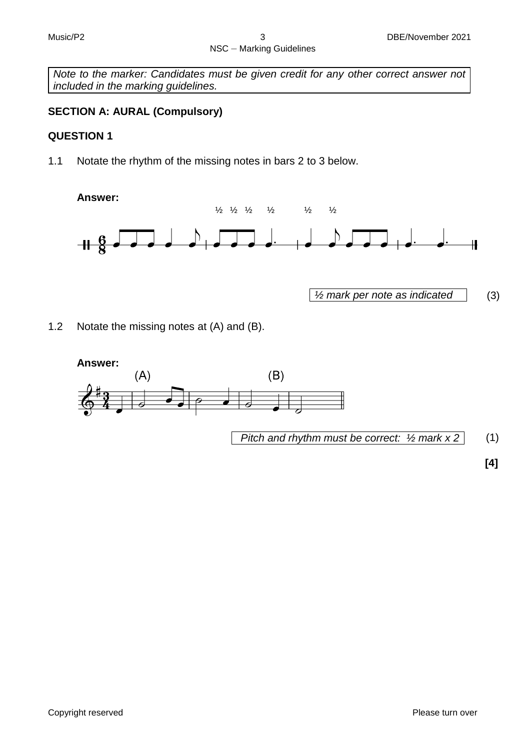*Note to the marker: Candidates must be given credit for any other correct answer not included in the marking guidelines.*

## **SECTION A: AURAL (Compulsory)**

## **QUESTION 1**

1.1 Notate the rhythm of the missing notes in bars 2 to 3 below.

**Answer:**



*½ mark per note as indicated* (3)

1.2 Notate the missing notes at (A) and (B).



**[4]**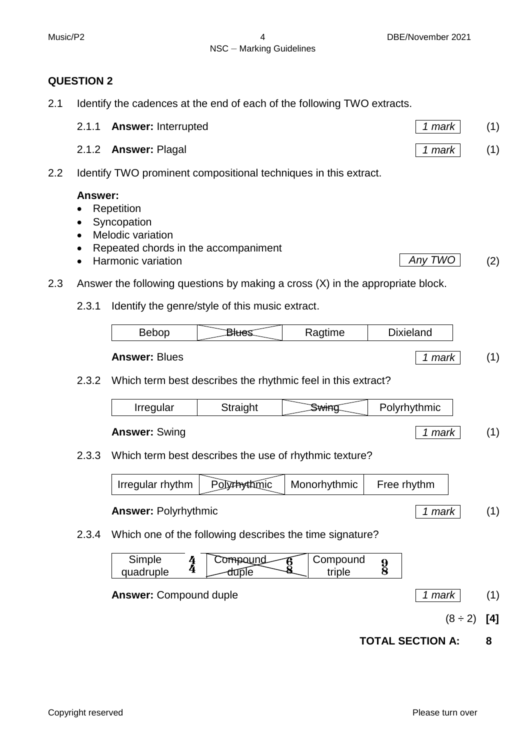# **QUESTION 2**

2.1 Identify the cadences at the end of each of the following TWO extracts.

| 2.1.1 <b>Answer:</b> Interrupted | $1$ 1 mar $\overline{k}$ | (1) |
|----------------------------------|--------------------------|-----|
| 2.1.2 <b>Answer: Plagal</b>      | $1$ mark                 | (1) |

2.2 Identify TWO prominent compositional techniques in this extract.

# **Answer:**

- Repetition
- Syncopation
- Melodic variation
- Repeated chords in the accompaniment
- Harmonic variation **Any TWO** (2)
- 2.3 Answer the following questions by making a cross (X) in the appropriate block.
	- 2.3.1 Identify the genre/style of this music extract.

| $\sim$<br>ıu<br>- - - - - |
|---------------------------|
|---------------------------|

2.3.2 Which term best describes the rhythmic feel in this extract?

| Irregular                                              | Straight | SWHAC. | Polyrhythmic |  |
|--------------------------------------------------------|----------|--------|--------------|--|
| <b>Answer: Swing</b>                                   | 1 mark   |        |              |  |
| Which term best describes the use of rhythmic texture? |          |        |              |  |

2.3.3 Which term best describes the use of rhythmic texture?

 $Irregular rhythm$  Polythythmic Monorhythmic Free rhythm **Answer:** Polyrhythmic *1 mark* (1)

2.3.4 Which one of the following describes the time signature?



$$
(8 \div 2) [4]
$$

**TOTAL SECTION A: 8**

**Answer:** Blues *1 mark* (1)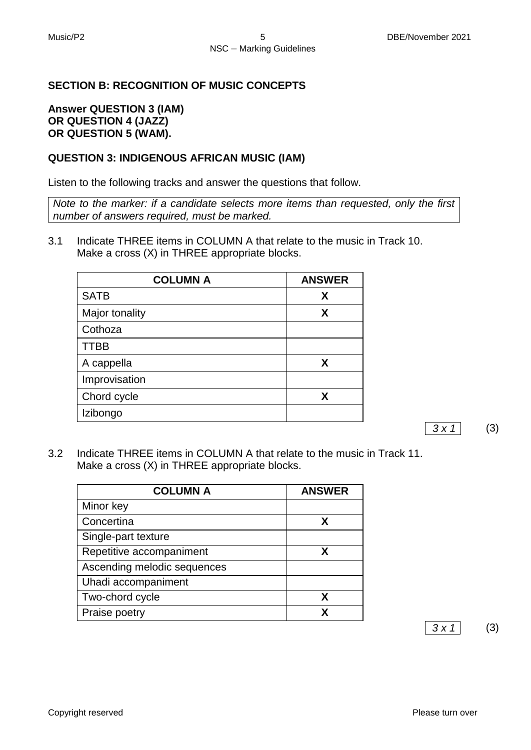## **SECTION B: RECOGNITION OF MUSIC CONCEPTS**

#### **Answer QUESTION 3 (IAM) OR QUESTION 4 (JAZZ) OR QUESTION 5 (WAM).**

### **QUESTION 3: INDIGENOUS AFRICAN MUSIC (IAM)**

Listen to the following tracks and answer the questions that follow.

*Note to the marker: if a candidate selects more items than requested, only the first number of answers required, must be marked.* 

3.1 Indicate THREE items in COLUMN A that relate to the music in Track 10. Make a cross (X) in THREE appropriate blocks.

| <b>COLUMN A</b> | <b>ANSWER</b> |
|-----------------|---------------|
| <b>SATB</b>     | X             |
| Major tonality  | X             |
| Cothoza         |               |
| <b>TTBB</b>     |               |
| A cappella      | X             |
| Improvisation   |               |
| Chord cycle     | X             |
| Izibongo        |               |

*3 x 1* (3)

3.2 Indicate THREE items in COLUMN A that relate to the music in Track 11. Make a cross (X) in THREE appropriate blocks.

| <b>COLUMN A</b>             | <b>ANSWER</b> |
|-----------------------------|---------------|
| Minor key                   |               |
| Concertina                  | X             |
| Single-part texture         |               |
| Repetitive accompaniment    | x             |
| Ascending melodic sequences |               |
| Uhadi accompaniment         |               |
| Two-chord cycle             | x             |
| Praise poetry               |               |

*3 x 1* (3)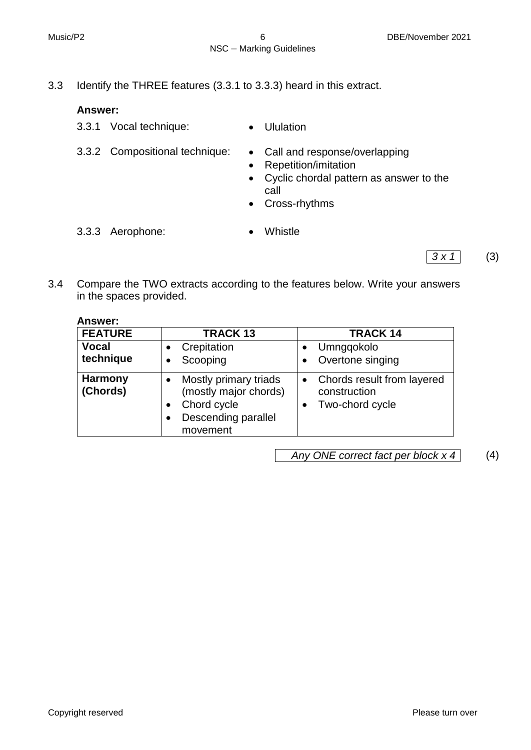- 
- 3.3 Identify the THREE features (3.3.1 to 3.3.3) heard in this extract.

## **Answer:**

- 3.3.1 Vocal technique: Ululation
- 3.3.2 Compositional technique: Call and response/overlapping
- - Repetition/imitation
	- Cyclic chordal pattern as answer to the call
	- Cross-rhythms
- 3.3.3 Aerophone: Whistle

- $3 \times 1$  (3)
- 3.4 Compare the TWO extracts according to the features below. Write your answers in the spaces provided.

# **Answer:**

| <b>FEATURE</b>             | <b>TRACK13</b>                                                                                   | <b>TRACK 14</b>                                               |
|----------------------------|--------------------------------------------------------------------------------------------------|---------------------------------------------------------------|
| <b>Vocal</b><br>technique  | Crepitation<br>Scooping                                                                          | Umngqokolo<br>Overtone singing                                |
| <b>Harmony</b><br>(Chords) | Mostly primary triads<br>(mostly major chords)<br>Chord cycle<br>Descending parallel<br>movement | Chords result from layered<br>construction<br>Two-chord cycle |

*Any ONE correct fact per block x 4* (4)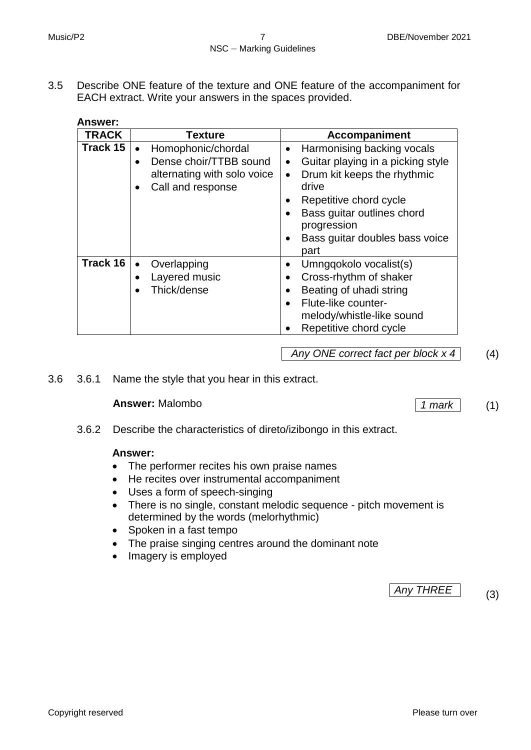3.5 Describe ONE feature of the texture and ONE feature of the accompaniment for EACH extract. Write your answers in the spaces provided.

| Answer:      |                                                                                                               |                                                                                                                                                                                                                                                                                        |
|--------------|---------------------------------------------------------------------------------------------------------------|----------------------------------------------------------------------------------------------------------------------------------------------------------------------------------------------------------------------------------------------------------------------------------------|
| <b>TRACK</b> | <b>Texture</b>                                                                                                | <b>Accompaniment</b>                                                                                                                                                                                                                                                                   |
| Track 15     | Homophonic/chordal<br>$\bullet$<br>Dense choir/TTBB sound<br>alternating with solo voice<br>Call and response | Harmonising backing vocals<br>٠<br>Guitar playing in a picking style<br>$\bullet$<br>Drum kit keeps the rhythmic<br>$\bullet$<br>drive<br>Repetitive chord cycle<br>٠<br>Bass guitar outlines chord<br>$\bullet$<br>progression<br>Bass guitar doubles bass voice<br>$\bullet$<br>part |
| Track 16     | Overlapping<br>$\bullet$<br>Layered music<br>$\bullet$<br>Thick/dense                                         | Umngqokolo vocalist(s)<br>Cross-rhythm of shaker<br>$\bullet$<br>Beating of uhadi string<br>$\bullet$<br>Flute-like counter-<br>$\bullet$<br>melody/whistle-like sound<br>Repetitive chord cycle                                                                                       |

*Any ONE correct fact per block x 4* (4)

3.6 3.6.1 Name the style that you hear in this extract.

## **Answer:** Malombo *1 mark* (1)

3.6.2 Describe the characteristics of direto/izibongo in this extract.

#### **Answer:**

- The performer recites his own praise names
- He recites over instrumental accompaniment
- Uses a form of speech-singing
- There is no single, constant melodic sequence pitch movement is determined by the words (melorhythmic)
- Spoken in a fast tempo
- The praise singing centres around the dominant note
- Imagery is employed

*Any THREE* (3)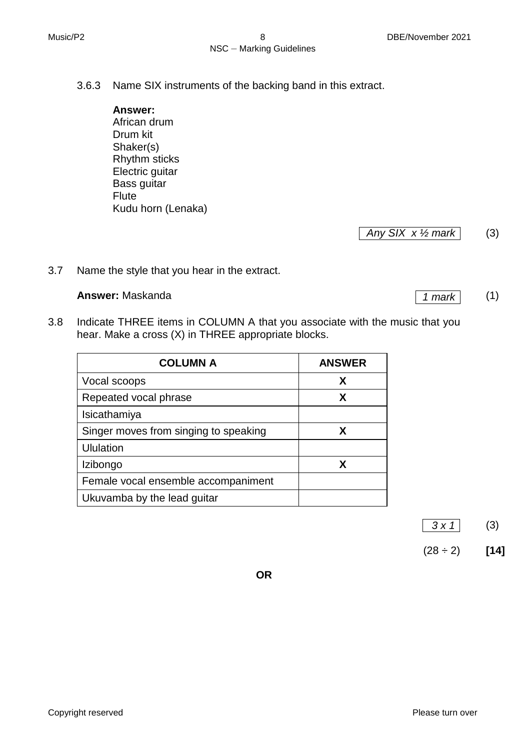- 3.6.3 Name SIX instruments of the backing band in this extract.
	- **Answer:** African drum Drum kit Shaker(s) Rhythm sticks Electric guitar Bass guitar Flute Kudu horn (Lenaka)

*Any SIX x ½ mark* (3)

3.7 Name the style that you hear in the extract.

## **Answer:** Maskanda (1) 1 mark

3.8 Indicate THREE items in COLUMN A that you associate with the music that you hear. Make a cross (X) in THREE appropriate blocks.

| <b>COLUMN A</b>                       | <b>ANSWER</b> |
|---------------------------------------|---------------|
| Vocal scoops                          | X             |
| Repeated vocal phrase                 | X             |
| Isicathamiya                          |               |
| Singer moves from singing to speaking | X.            |
| <b>Ululation</b>                      |               |
| Izibongo                              | X             |
| Female vocal ensemble accompaniment   |               |
| Ukuvamba by the lead guitar           |               |

*3 x 1* (3)



**OR**

Copyright reserved **Please** turn over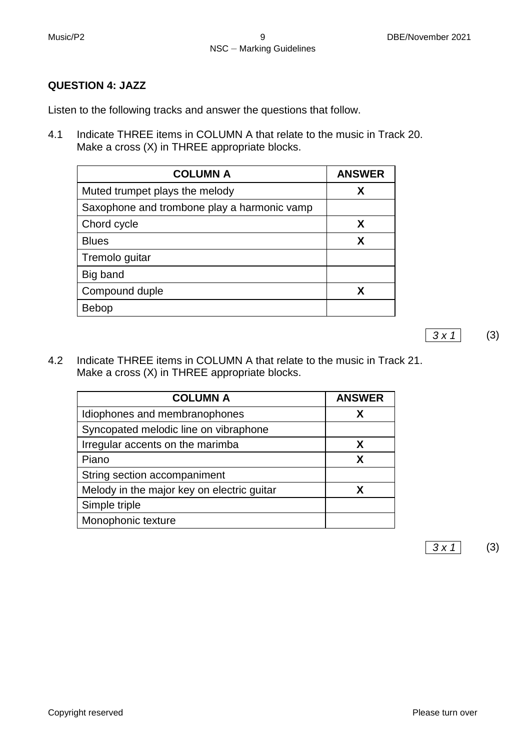## **QUESTION 4: JAZZ**

Listen to the following tracks and answer the questions that follow.

4.1 Indicate THREE items in COLUMN A that relate to the music in Track 20. Make a cross (X) in THREE appropriate blocks.

| <b>COLUMN A</b>                             | <b>ANSWER</b> |
|---------------------------------------------|---------------|
| Muted trumpet plays the melody              | Х             |
| Saxophone and trombone play a harmonic vamp |               |
| Chord cycle                                 | X             |
| <b>Blues</b>                                | X             |
| Tremolo guitar                              |               |
| Big band                                    |               |
| Compound duple                              | X             |
| <b>Bebop</b>                                |               |

4.2 Indicate THREE items in COLUMN A that relate to the music in Track 21. Make a cross (X) in THREE appropriate blocks.

| <b>COLUMN A</b>                            | <b>ANSWER</b> |
|--------------------------------------------|---------------|
| Idiophones and membranophones              | X             |
| Syncopated melodic line on vibraphone      |               |
| Irregular accents on the marimba           | X             |
| Piano                                      | X             |
| String section accompaniment               |               |
| Melody in the major key on electric guitar | x             |
| Simple triple                              |               |
| Monophonic texture                         |               |

*3 x 1* (3)

*3 x 1* (3)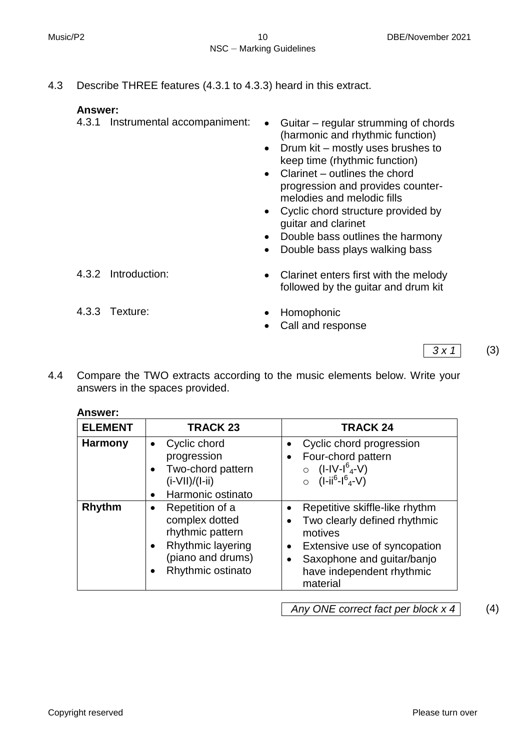4.3 Describe THREE features (4.3.1 to 4.3.3) heard in this extract.

### **Answer:**

- 
- 4.3.1 Instrumental accompaniment: Guitar regular strumming of chords (harmonic and rhythmic function)
	- Drum kit mostly uses brushes to keep time (rhythmic function)
	- Clarinet outlines the chord progression and provides countermelodies and melodic fills
	- Cyclic chord structure provided by guitar and clarinet
	- Double bass outlines the harmony
	- Double bass plays walking bass

- 
- 4.3.2 Introduction: Clarinet enters first with the melody followed by the guitar and drum kit
- 4.3.3 Texture: <br>
Homophonic
	- Call and response
- *3 x 1* (3)
- 4.4 Compare the TWO extracts according to the music elements below. Write your answers in the spaces provided.

#### **Answer:**

| <b>ELEMENT</b> | <b>TRACK 23</b>                                                                                                      | <b>TRACK 24</b>                                                                                                                                                                                                         |
|----------------|----------------------------------------------------------------------------------------------------------------------|-------------------------------------------------------------------------------------------------------------------------------------------------------------------------------------------------------------------------|
| <b>Harmony</b> | Cyclic chord<br>progression<br>Two-chord pattern<br>$(i-VII)/(I-ii)$<br>Harmonic ostinato                            | Cyclic chord progression<br>Four-chord pattern<br>$(I-IV-I64-V)$<br>$O$ $(I - ii^6 - I^6 - V)$                                                                                                                          |
| Rhythm         | Repetition of a<br>complex dotted<br>rhythmic pattern<br>Rhythmic layering<br>(piano and drums)<br>Rhythmic ostinato | Repetitive skiffle-like rhythm<br>$\bullet$<br>Two clearly defined rhythmic<br>motives<br>Extensive use of syncopation<br>$\bullet$<br>Saxophone and guitar/banjo<br>$\bullet$<br>have independent rhythmic<br>material |

*Any ONE correct fact per block x 4* (4)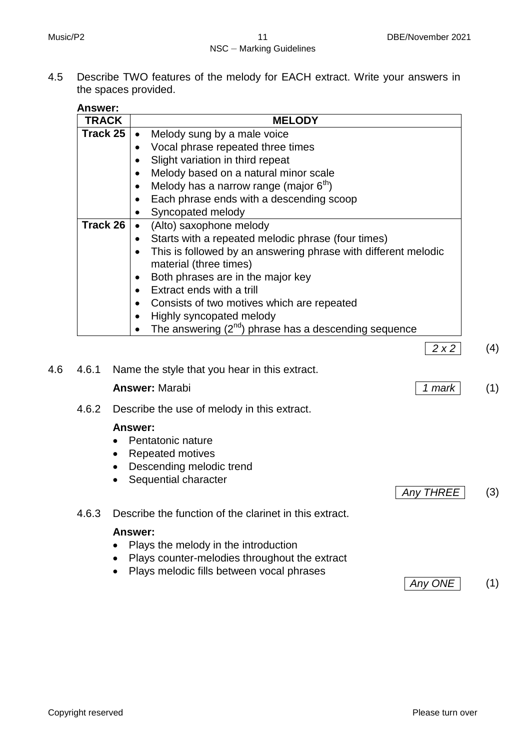## NSC – Marking Guidelines

4.5 Describe TWO features of the melody for EACH extract. Write your answers in the spaces provided.

| <b>TRACK</b>                                         | <b>MELODY</b>                                                                                         |  |
|------------------------------------------------------|-------------------------------------------------------------------------------------------------------|--|
| Track 25<br>Melody sung by a male voice<br>$\bullet$ |                                                                                                       |  |
|                                                      | Vocal phrase repeated three times                                                                     |  |
|                                                      | Slight variation in third repeat                                                                      |  |
|                                                      | Melody based on a natural minor scale                                                                 |  |
|                                                      | Melody has a narrow range (major $6th$ )                                                              |  |
|                                                      | Each phrase ends with a descending scoop                                                              |  |
|                                                      | Syncopated melody                                                                                     |  |
| Track 26<br>(Alto) saxophone melody                  |                                                                                                       |  |
|                                                      | Starts with a repeated melodic phrase (four times)<br>$\bullet$                                       |  |
|                                                      | This is followed by an answering phrase with different melodic<br>$\bullet$<br>material (three times) |  |
|                                                      | Both phrases are in the major key                                                                     |  |
|                                                      | Extract ends with a trill                                                                             |  |
|                                                      | Consists of two motives which are repeated                                                            |  |
|                                                      | Highly syncopated melody                                                                              |  |
|                                                      | The answering $(2^{nd})$ phrase has a descending sequence<br>$\bullet$                                |  |

|  | 4.6 4.6.1 Name the style that you hear in this extract. |          |     |
|--|---------------------------------------------------------|----------|-----|
|  | <b>Answer: Marabi</b>                                   | $1$ mark | (1) |

4.6.2 Describe the use of melody in this extract.

### **Answer:**

- Pentatonic nature
- Repeated motives
- Descending melodic trend
- Sequential character
- 4.6.3 Describe the function of the clarinet in this extract.

#### **Answer:**

- Plays the melody in the introduction
- Plays counter-melodies throughout the extract
- Plays melodic fills between vocal phrases



*Any THREE* (3)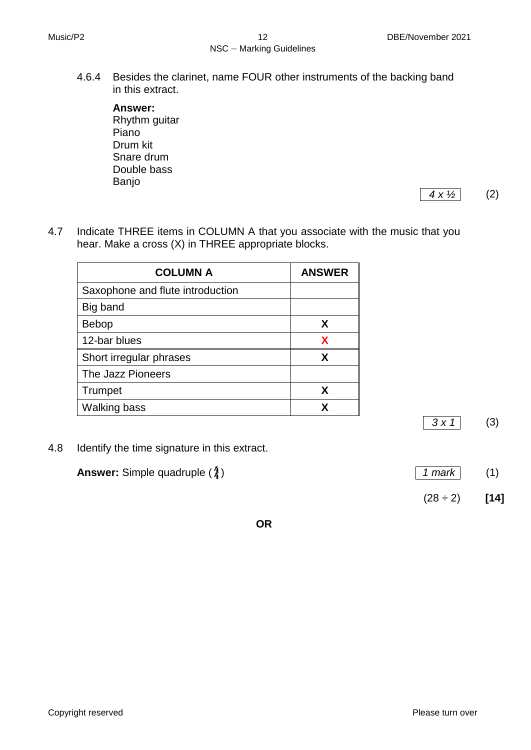4.6.4 Besides the clarinet, name FOUR other instruments of the backing band in this extract.

**Answer:** Rhythm guitar Piano Drum kit Snare drum Double bass Banjo

*4 x ½* (2)

4.7 Indicate THREE items in COLUMN A that you associate with the music that you hear. Make a cross (X) in THREE appropriate blocks.

| <b>COLUMN A</b>                  | <b>ANSWER</b> |
|----------------------------------|---------------|
| Saxophone and flute introduction |               |
| Big band                         |               |
| <b>Bebop</b>                     | X             |
| 12-bar blues                     | X             |
| Short irregular phrases          | X             |
| The Jazz Pioneers                |               |
| Trumpet                          | X             |
| <b>Walking bass</b>              |               |

4.8 Identify the time signature in this extract.

| <b>Answer:</b> Simple quadruple $(\frac{4}{4})$ | $\vert$ 1 mark |  |
|-------------------------------------------------|----------------|--|
|-------------------------------------------------|----------------|--|

 $(28 \div 2)$  [14]

*3 x 1* (3)

**OR**

Copyright reserved **Please** turn over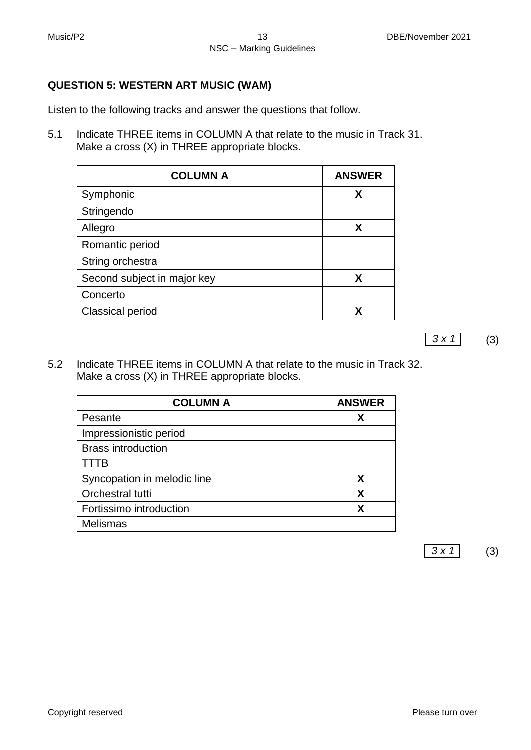## **QUESTION 5: WESTERN ART MUSIC (WAM)**

Listen to the following tracks and answer the questions that follow.

5.1 Indicate THREE items in COLUMN A that relate to the music in Track 31. Make a cross (X) in THREE appropriate blocks.

| <b>COLUMN A</b>             | <b>ANSWER</b> |
|-----------------------------|---------------|
| Symphonic                   | X             |
| Stringendo                  |               |
| Allegro                     | X             |
| Romantic period             |               |
| String orchestra            |               |
| Second subject in major key | X             |
| Concerto                    |               |
| <b>Classical period</b>     | x             |

5.2 Indicate THREE items in COLUMN A that relate to the music in Track 32. Make a cross (X) in THREE appropriate blocks.

| <b>COLUMN A</b>             | <b>ANSWER</b> |
|-----------------------------|---------------|
| Pesante                     | х             |
| Impressionistic period      |               |
| <b>Brass introduction</b>   |               |
| TTTB                        |               |
| Syncopation in melodic line | X             |
| Orchestral tutti            | X             |
| Fortissimo introduction     | x             |
| <b>Melismas</b>             |               |

*3 x 1* (3)

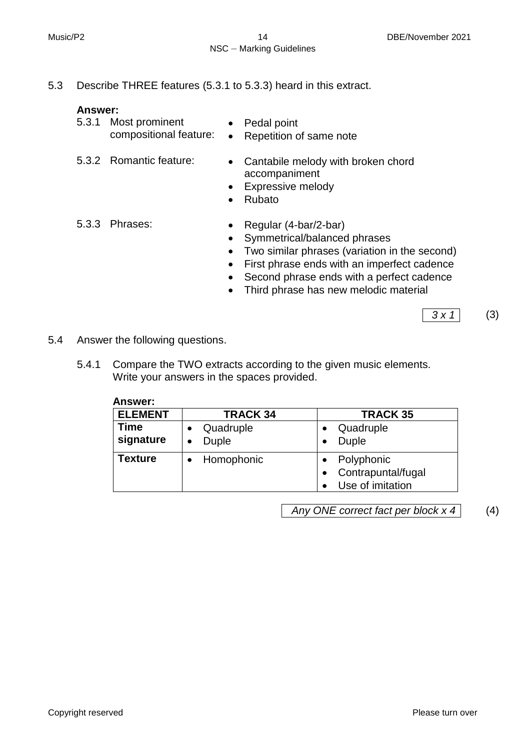5.3 Describe THREE features (5.3.1 to 5.3.3) heard in this extract.

#### **Answer:**

| 5.3.1 Most prominent   | • Pedal point           |
|------------------------|-------------------------|
| compositional feature: | Repetition of same note |

- 
- 5.3.2 Romantic feature: Cantabile melody with broken chord accompaniment
	- Expressive melody
	- Rubato
- 5.3.3 Phrases: **a Regular (4-bar/2-bar)** 
	-
	- Symmetrical/balanced phrases
	- Two similar phrases (variation in the second)
	- First phrase ends with an imperfect cadence
	- Second phrase ends with a perfect cadence
	- Third phrase has new melodic material

*3 x 1* (3)

- 5.4 Answer the following questions.
	- 5.4.1 Compare the TWO extracts according to the given music elements. Write your answers in the spaces provided.

**Answer:**

| <b>ELEMENT</b>    | <b>TRACK 34</b>           | <b>TRACK 35</b>                                      |
|-------------------|---------------------------|------------------------------------------------------|
| Time<br>signature | Quadruple<br><b>Duple</b> | Quadruple<br>Duple                                   |
| Texture           | Homophonic                | Polyphonic<br>Contrapuntal/fugal<br>Use of imitation |

*Any ONE correct fact per block x 4* (4)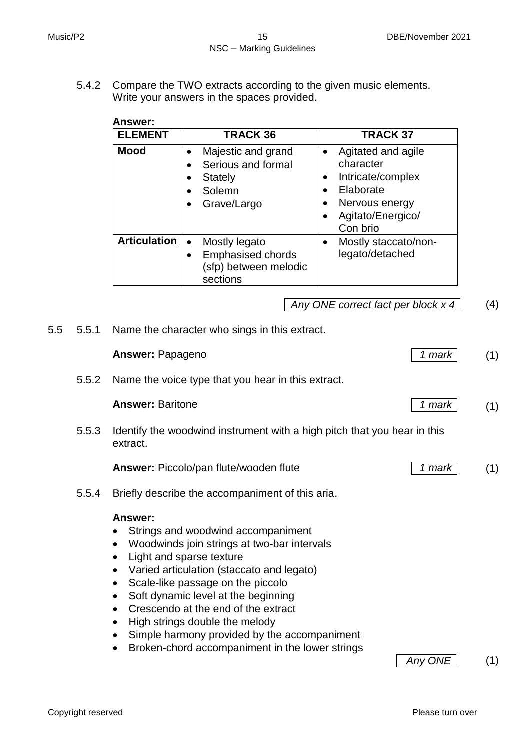5.4.2 Compare the TWO extracts according to the given music elements. Write your answers in the spaces provided.

| Answer:             |                                                                                             |                                                                                                                                                             |
|---------------------|---------------------------------------------------------------------------------------------|-------------------------------------------------------------------------------------------------------------------------------------------------------------|
| <b>ELEMENT</b>      | <b>TRACK 36</b>                                                                             | <b>TRACK 37</b>                                                                                                                                             |
| <b>Mood</b>         | Majestic and grand<br>Serious and formal<br><b>Stately</b><br>Solemn<br>Grave/Largo         | Agitated and agile<br>$\bullet$<br>character<br>Intricate/complex<br>$\bullet$<br>Elaborate<br>Nervous energy<br>Agitato/Energico/<br>$\bullet$<br>Con brio |
| <b>Articulation</b> | Mostly legato<br>$\bullet$<br><b>Emphasised chords</b><br>(sfp) between melodic<br>sections | Mostly staccato/non-<br>legato/detached                                                                                                                     |

## *Any ONE correct fact per block x 4* (4)

5.5 5.5.1 Name the character who sings in this extract.

|       | <b>Answer: Papageno</b>                                                                                                                                                                                                                                                                                                                                                                                                                                                                                                                            | 1 mark  | (1) |
|-------|----------------------------------------------------------------------------------------------------------------------------------------------------------------------------------------------------------------------------------------------------------------------------------------------------------------------------------------------------------------------------------------------------------------------------------------------------------------------------------------------------------------------------------------------------|---------|-----|
| 5.5.2 | Name the voice type that you hear in this extract.                                                                                                                                                                                                                                                                                                                                                                                                                                                                                                 |         |     |
|       | <b>Answer: Baritone</b>                                                                                                                                                                                                                                                                                                                                                                                                                                                                                                                            | 1 mark  | (1) |
| 5.5.3 | Identify the woodwind instrument with a high pitch that you hear in this<br>extract.                                                                                                                                                                                                                                                                                                                                                                                                                                                               |         |     |
|       | <b>Answer: Piccolo/pan flute/wooden flute</b>                                                                                                                                                                                                                                                                                                                                                                                                                                                                                                      | 1 mark  | (1) |
| 5.5.4 | Briefly describe the accompaniment of this aria.                                                                                                                                                                                                                                                                                                                                                                                                                                                                                                   |         |     |
|       | Answer:<br>Strings and woodwind accompaniment<br>Woodwinds join strings at two-bar intervals<br>$\bullet$<br>Light and sparse texture<br>$\bullet$<br>Varied articulation (staccato and legato)<br>$\bullet$<br>Scale-like passage on the piccolo<br>$\bullet$<br>Soft dynamic level at the beginning<br>$\bullet$<br>Crescendo at the end of the extract<br>$\bullet$<br>High strings double the melody<br>$\bullet$<br>Simple harmony provided by the accompaniment<br>$\bullet$<br>Broken-chord accompaniment in the lower strings<br>$\bullet$ | Any ONE | (1) |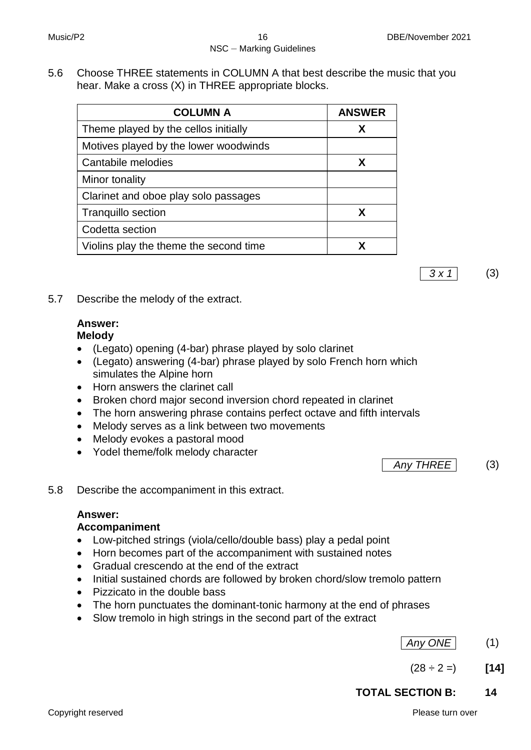5.6 Choose THREE statements in COLUMN A that best describe the music that you hear. Make a cross (X) in THREE appropriate blocks.

| <b>COLUMN A</b>                        | <b>ANSWER</b> |
|----------------------------------------|---------------|
| Theme played by the cellos initially   | X             |
| Motives played by the lower woodwinds  |               |
| Cantabile melodies                     | X             |
| Minor tonality                         |               |
| Clarinet and oboe play solo passages   |               |
| <b>Tranquillo section</b>              | X             |
| Codetta section                        |               |
| Violins play the theme the second time |               |

*3 x 1* (3)

5.7 Describe the melody of the extract.

### **Answer: Melody**

- (Legato) opening (4-bar) phrase played by solo clarinet
- (Legato) answering (4-bar) phrase played by solo French horn which simulates the Alpine horn
- Horn answers the clarinet call
- Broken chord major second inversion chord repeated in clarinet
- The horn answering phrase contains perfect octave and fifth intervals
- Melody serves as a link between two movements
- Melody evokes a pastoral mood
- Yodel theme/folk melody character

*Any THREE* (3)

5.8 Describe the accompaniment in this extract.

# **Answer:**

## **Accompaniment**

- Low-pitched strings (viola/cello/double bass) play a pedal point
- Horn becomes part of the accompaniment with sustained notes
- Gradual crescendo at the end of the extract
- Initial sustained chords are followed by broken chord/slow tremolo pattern
- Pizzicato in the double bass
- The horn punctuates the dominant-tonic harmony at the end of phrases
- Slow tremolo in high strings in the second part of the extract
- *Any ONE* (1)
- $(28 \div 2 =)$  **[14]**

# **TOTAL SECTION B: 14**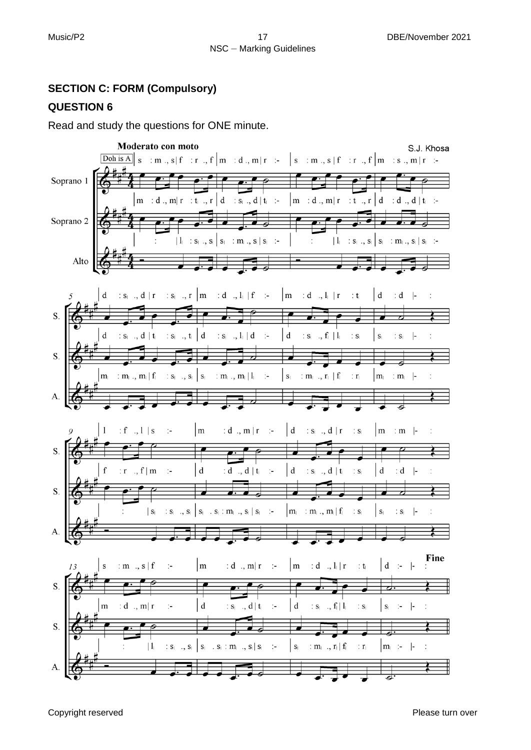# **SECTION C: FORM (Compulsory)**

# **QUESTION 6**

Read and study the questions for ONE minute.

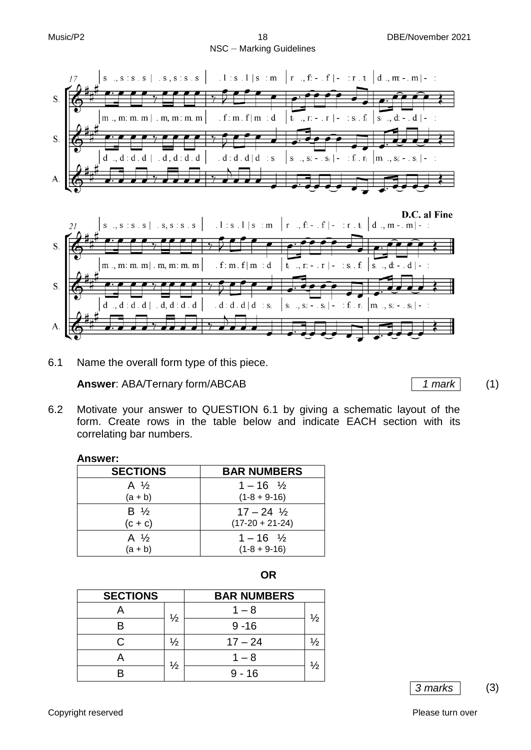





6.1 Name the overall form type of this piece.

**Answer**: ABA/Ternary form/ABCAB 1 1 mark (1)

- 
- 6.2 Motivate your answer to QUESTION 6.1 by giving a schematic layout of the form. Create rows in the table below and indicate EACH section with its correlating bar numbers.

#### **Answer:**

| <b>SECTIONS</b>              | <b>BAR NUMBERS</b>      |
|------------------------------|-------------------------|
| A $\frac{1}{2}$              | $1 - 16 \frac{1}{2}$    |
| $(a + b)$                    | $(1-8 + 9-16)$          |
| $\mathsf{B}$ $\mathcal{V}_2$ | $17 - 24$ $\frac{1}{2}$ |
| $(c + c)$                    | $(17-20 + 21-24)$       |
| A $\frac{1}{2}$              | $1 - 16 \frac{1}{2}$    |
| $(a + b)$                    | $(1-8 + 9-16)$          |

| . .<br>×<br>٠<br>v |  |
|--------------------|--|
|                    |  |

| <b>SECTIONS</b> |               | <b>BAR NUMBERS</b> |               |
|-----------------|---------------|--------------------|---------------|
|                 | $\frac{1}{2}$ | $1 - 8$            | $\frac{1}{2}$ |
|                 |               | $9 - 16$           |               |
|                 | $\frac{1}{2}$ | $17 - 24$          | ⅛             |
|                 | $\frac{1}{2}$ | $1 - 8$            | $\frac{1}{2}$ |
|                 |               | $9 - 16$           |               |

*3 marks* (3)